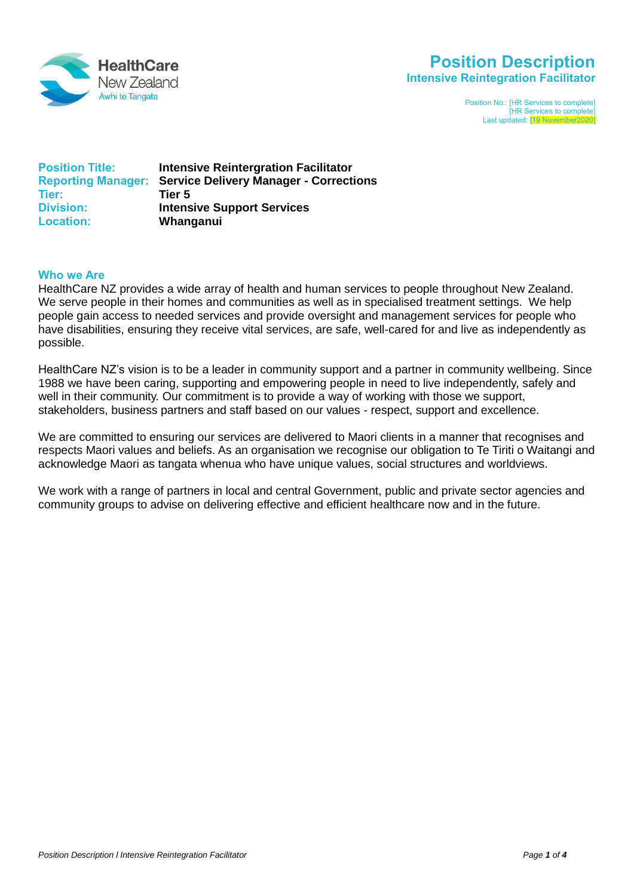

# **Position Description Intensive Reintegration Facilitator**

Position No.: [HR Services to complete] **HR Services to complete]** Last updated: [19 November20

| <b>Position Title:</b> | <b>Intensive Reintergration Facilitator</b>                      |
|------------------------|------------------------------------------------------------------|
|                        | <b>Reporting Manager: Service Delivery Manager - Corrections</b> |
| Tier:                  | Tier 5                                                           |
| <b>Division:</b>       | <b>Intensive Support Services</b>                                |
| <b>Location:</b>       | Whanganui                                                        |

#### **Who we Are**

HealthCare NZ provides a wide array of health and human services to people throughout New Zealand. We serve people in their homes and communities as well as in specialised treatment settings. We help people gain access to needed services and provide oversight and management services for people who have disabilities, ensuring they receive vital services, are safe, well-cared for and live as independently as possible.

HealthCare NZ's vision is to be a leader in community support and a partner in community wellbeing. Since 1988 we have been caring, supporting and empowering people in need to live independently, safely and well in their community. Our commitment is to provide a way of working with those we support, stakeholders, business partners and staff based on our values - respect, support and excellence.

We are committed to ensuring our services are delivered to Maori clients in a manner that recognises and respects Maori values and beliefs. As an organisation we recognise our obligation to Te Tiriti o Waitangi and acknowledge Maori as tangata whenua who have unique values, social structures and worldviews.

We work with a range of partners in local and central Government, public and private sector agencies and community groups to advise on delivering effective and efficient healthcare now and in the future.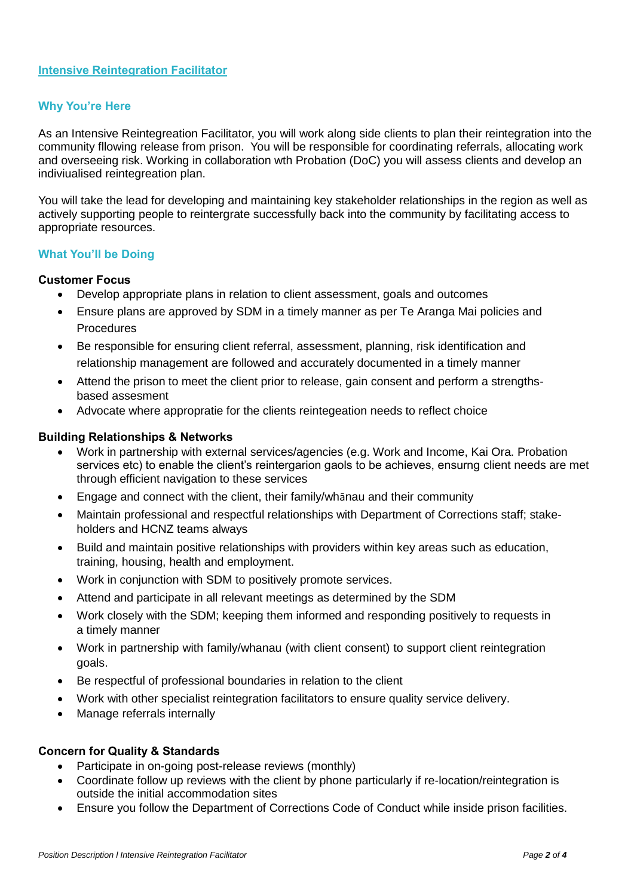# **Why You're Here**

As an Intensive Reintegreation Facilitator, you will work along side clients to plan their reintegration into the community fllowing release from prison. You will be responsible for coordinating referrals, allocating work and overseeing risk. Working in collaboration wth Probation (DoC) you will assess clients and develop an indiviualised reintegreation plan.

You will take the lead for developing and maintaining key stakeholder relationships in the region as well as actively supporting people to reintergrate successfully back into the community by facilitating access to appropriate resources.

# **What You'll be Doing**

#### **Customer Focus**

- Develop appropriate plans in relation to client assessment, goals and outcomes
- Ensure plans are approved by SDM in a timely manner as per Te Aranga Mai policies and **Procedures**
- Be responsible for ensuring client referral, assessment, planning, risk identification and relationship management are followed and accurately documented in a timely manner
- Attend the prison to meet the client prior to release, gain consent and perform a strengthsbased assesment
- Advocate where appropratie for the clients reintegeation needs to reflect choice

#### **Building Relationships & Networks**

- Work in partnership with external services/agencies (e.g. Work and Income, Kai Ora. Probation services etc) to enable the client's reintergarion gaols to be achieves, ensurng client needs are met through efficient navigation to these services
- Engage and connect with the client, their family/whānau and their community
- Maintain professional and respectful relationships with Department of Corrections staff; stakeholders and HCNZ teams always
- Build and maintain positive relationships with providers within key areas such as education, training, housing, health and employment.
- Work in conjunction with SDM to positively promote services.
- Attend and participate in all relevant meetings as determined by the SDM
- Work closely with the SDM; keeping them informed and responding positively to requests in a timely manner
- Work in partnership with family/whanau (with client consent) to support client reintegration goals.
- Be respectful of professional boundaries in relation to the client
- Work with other specialist reintegration facilitators to ensure quality service delivery.
- Manage referrals internally

#### **Concern for Quality & Standards**

- Participate in on-going post-release reviews (monthly)
- Coordinate follow up reviews with the client by phone particularly if re-location/reintegration is outside the initial accommodation sites
- Ensure you follow the Department of Corrections Code of Conduct while inside prison facilities.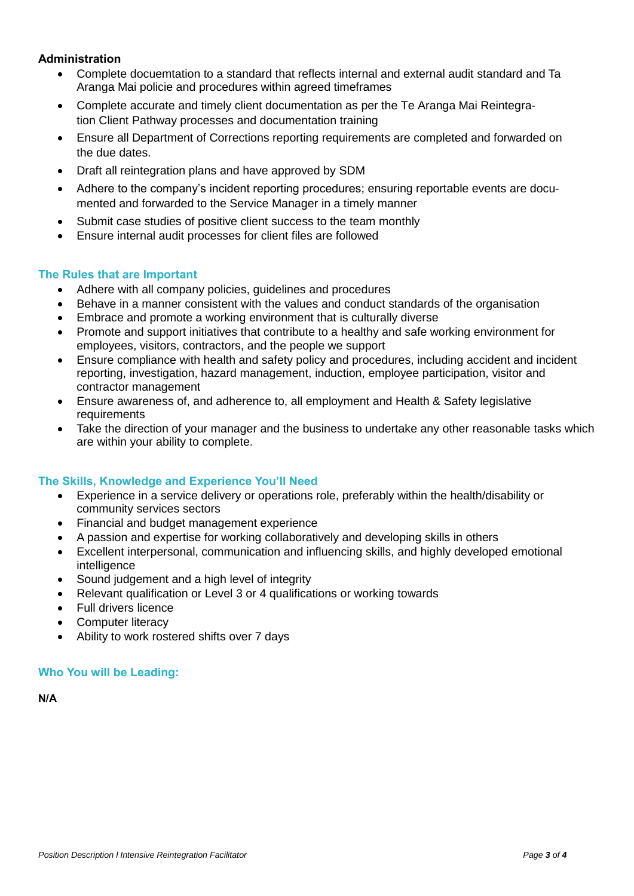# **Administration**

- Complete docuemtation to a standard that reflects internal and external audit standard and Ta Aranga Mai policie and procedures within agreed timeframes
- Complete accurate and timely client documentation as per the Te Aranga Mai Reintegration Client Pathway processes and documentation training
- Ensure all Department of Corrections reporting requirements are completed and forwarded on the due dates.
- Draft all reintegration plans and have approved by SDM
- Adhere to the company's incident reporting procedures; ensuring reportable events are documented and forwarded to the Service Manager in a timely manner
- Submit case studies of positive client success to the team monthly
- Ensure internal audit processes for client files are followed

# **The Rules that are Important**

- Adhere with all company policies, guidelines and procedures
- Behave in a manner consistent with the values and conduct standards of the organisation
- Embrace and promote a working environment that is culturally diverse
- Promote and support initiatives that contribute to a healthy and safe working environment for employees, visitors, contractors, and the people we support
- Ensure compliance with health and safety policy and procedures, including accident and incident reporting, investigation, hazard management, induction, employee participation, visitor and contractor management
- Ensure awareness of, and adherence to, all employment and Health & Safety legislative requirements
- Take the direction of your manager and the business to undertake any other reasonable tasks which are within your ability to complete.

# **The Skills, Knowledge and Experience You'll Need**

- Experience in a service delivery or operations role, preferably within the health/disability or community services sectors
- Financial and budget management experience
- A passion and expertise for working collaboratively and developing skills in others
- Excellent interpersonal, communication and influencing skills, and highly developed emotional intelligence
- Sound judgement and a high level of integrity
- Relevant qualification or Level 3 or 4 qualifications or working towards
- Full drivers licence
- Computer literacy
- Ability to work rostered shifts over 7 days

# **Who You will be Leading:**

**N/A**